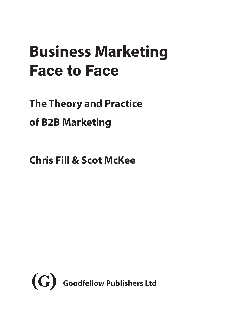# **Business Marketing** Face to Face

**The Theory and Practice of B2B Marketing**

**Chris Fill & Scot McKee**

<span id="page-0-0"></span>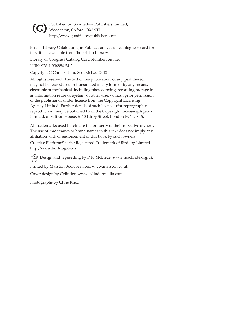<span id="page-1-0"></span>

Published by Goodfellow Publishers Limited, Woodeaton, Oxford, OX3 9TJ **(G)**http://www.goodfellowpublishers.com

British Library Cataloguing in Publication Data: a catalogue record for this title is available from the British Library.

Library of Congress Catalog Card Number: on file.

ISBN: 978-1-906884-54-3

Copyright © Chris Fill and Scot McKee, 2012

All rights reserved. The text of this publication, or any part thereof, may not be reproduced or transmitted in any form or by any means, electronic or mechanical, including photocopying, recording, storage in an information retrieval system, or otherwise, without prior permission of the publisher or under licence from the Copyright Licensing Agency Limited. Further details of such licences (for reprographic reproduction) may be obtained from the Copyright Licensing Agency Limited, of Saffron House, 6–10 Kirby Street, London EC1N 8TS.

All trademarks used herein are the property of their repective owners, The use of trademarks or brand names in this text does not imply any affiliation with or endorsement of this book by such owners.

Creative Platform® is the Registered Trademark of Birddog Limited http://www.birddog.co.uk

Design and typesetting by P.K. McBride, www.macbride.org.uk

Printed by Marston Book Services, www.marston.co.uk

Cover design by Cylinder, www.cylindermedia.com

Photographs by Chris Knox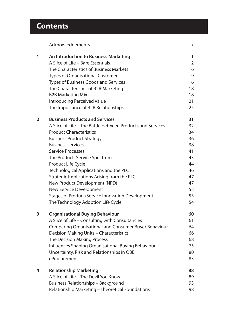## **Contents**

|   | Acknowledgements                                           | X  |
|---|------------------------------------------------------------|----|
| 1 | An Introduction to Business Marketing                      | 1  |
|   | A Slice of Life - Bare Essentials                          | 2  |
|   | The Characteristics of Business Markets                    | 6  |
|   | <b>Types of Organisational Customers</b>                   | 9  |
|   | Types of Business Goods and Services                       | 16 |
|   | The Characteristics of B2B Marketing                       | 18 |
|   | <b>B2B Marketing Mix</b>                                   | 18 |
|   | Introducing Perceived Value                                | 21 |
|   | The Importance of B2B Relationships                        | 25 |
| 2 | <b>Business Products and Services</b>                      | 31 |
|   | A Slice of Life - The Battle between Products and Services | 32 |
|   | <b>Product Characteristics</b>                             | 34 |
|   | <b>Business Product Strategy</b>                           | 36 |
|   | <b>Business services</b>                                   | 38 |
|   | <b>Service Processes</b>                                   | 41 |
|   | The Product-Service Spectrum                               | 43 |
|   | Product Life Cycle                                         | 44 |
|   | Technological Applications and the PLC                     | 46 |
|   | Strategic Implications Arising from the PLC                | 47 |
|   | New Product Development (NPD)                              | 47 |
|   | New Service Development                                    | 52 |
|   | <b>Stages of Product/Service Innovation Development</b>    | 53 |
|   | The Technology Adoption Life Cycle                         | 54 |
| 3 | <b>Organisational Buying Behaviour</b>                     | 60 |
|   | A Slice of Life - Consulting with Consultancies            | 61 |
|   | Comparing Organisational and Consumer Buyer Behaviour      | 64 |
|   | Decision Making Units - Characteristics                    | 66 |
|   | The Decision Making Process                                | 68 |
|   | Influences Shaping Organisational Buying Behaviour         | 75 |
|   | Uncertainty, Risk and Relationships in OBB                 | 80 |
|   | eProcurement                                               | 83 |
| 4 | <b>Relationship Marketing</b>                              | 88 |
|   | A Slice of Life - The Devil You Know                       | 89 |
|   | Business Relationships - Background                        | 93 |
|   | Relationship Marketing - Theoretical Foundations           | 98 |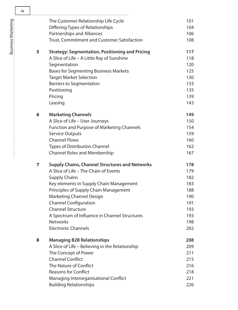|   | The Customer Relationship Life Cycle                   | 101 |
|---|--------------------------------------------------------|-----|
|   | Differing Types of Relationships                       | 104 |
|   | Partnerships and Alliances                             | 106 |
|   | Trust, Commitment and Customer Satisfaction            | 108 |
| 5 | <b>Strategy: Segmentation, Positioning and Pricing</b> | 117 |
|   | A Slice of Life - A Little Ray of Sunshine             | 118 |
|   | Segmentation                                           | 120 |
|   | <b>Bases for Segmenting Business Markets</b>           | 125 |
|   | <b>Target Market Selection</b>                         | 130 |
|   | <b>Barriers to Segmentation</b>                        | 133 |
|   | Positioning                                            | 135 |
|   | Pricing                                                | 139 |
|   | Leasing                                                | 143 |
| 6 | <b>Marketing Channels</b>                              | 149 |
|   | A Slice of Life - User Journeys                        | 150 |
|   | <b>Function and Purpose of Marketing Channels</b>      | 154 |
|   | <b>Service Outputs</b>                                 | 159 |
|   | <b>Channel Flows</b>                                   | 160 |
|   | <b>Types of Distribution Channel</b>                   | 162 |
|   | <b>Channel Roles and Membership</b>                    | 167 |
| 7 | <b>Supply Chains, Channel Structures and Networks</b>  | 178 |
|   | A Slice of Life - The Chain of Events                  | 179 |
|   | <b>Supply Chains</b>                                   | 182 |
|   | Key elements in Supply Chain Management                | 183 |
|   | Principles of Supply Chain Management                  | 188 |
|   | <b>Marketing Channel Design</b>                        | 190 |
|   | <b>Channel Configuration</b>                           | 191 |
|   | <b>Channel Structure</b>                               | 193 |
|   | A Spectrum of Influence in Channel Structures          | 193 |
|   | <b>Networks</b>                                        | 198 |
|   | <b>Electronic Channels</b>                             | 202 |
| 8 | <b>Managing B2B Relationships</b>                      | 208 |
|   | A Slice of Life - Believing in the Relationship        | 209 |
|   | The Concept of Power                                   | 211 |
|   | <b>Channel Conflict</b>                                | 215 |
|   | The Nature of Conflict                                 | 216 |
|   | <b>Reasons for Conflict</b>                            | 218 |
|   | Managing Interorganisational Conflict                  | 221 |
|   | <b>Building Relationships</b>                          | 226 |

<span id="page-3-0"></span>**iv**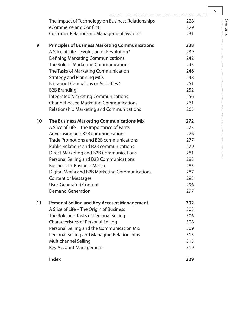<span id="page-4-0"></span>

|    | The Impact of Technology on Business Relationships     | 228 |
|----|--------------------------------------------------------|-----|
|    | eCommerce and Conflict                                 | 229 |
|    | <b>Customer Relationship Management Systems</b>        | 231 |
| 9  | <b>Principles of Business Marketing Communications</b> | 238 |
|    | A Slice of Life - Evolution or Revolution?             | 239 |
|    | <b>Defining Marketing Communications</b>               | 242 |
|    | The Role of Marketing Communications                   | 243 |
|    | The Tasks of Marketing Communication                   | 246 |
|    | <b>Strategy and Planning MCs</b>                       | 248 |
|    | Is it about Campaigns or Activities?                   | 251 |
|    | <b>B2B Branding</b>                                    | 252 |
|    | <b>Integrated Marketing Communications</b>             | 256 |
|    | <b>Channel-based Marketing Communications</b>          | 261 |
|    | Relationship Marketing and Communications              | 265 |
| 10 | The Business Marketing Communications Mix              | 272 |
|    | A Slice of Life - The Importance of Pants              | 273 |
|    | Advertising and B2B communications                     | 276 |
|    | Trade Promotions and B2B communications                | 277 |
|    | <b>Public Relations and B2B communications</b>         | 279 |
|    | Direct Marketing and B2B Communications                | 281 |
|    | Personal Selling and B2B Communications                | 283 |
|    | <b>Business-to-Business Media</b>                      | 285 |
|    | Digital Media and B2B Marketing Communications         | 287 |
|    | <b>Content or Messages</b>                             | 293 |
|    | <b>User-Generated Content</b>                          | 296 |
|    | <b>Demand Generation</b>                               | 297 |
| 11 | <b>Personal Selling and Key Account Management</b>     | 302 |
|    | A Slice of Life - The Origin of Business               | 303 |
|    | The Role and Tasks of Personal Selling                 | 306 |
|    | <b>Characteristics of Personal Selling</b>             | 308 |
|    | Personal Selling and the Communication Mix             | 309 |
|    | Personal Selling and Managing Relationships            | 313 |
|    | Multichannel Selling                                   | 315 |
|    | Key Account Management                                 | 319 |
|    | <b>Index</b>                                           | 329 |

**v**

Contents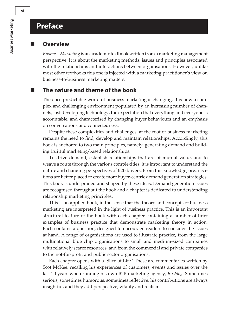### <span id="page-5-0"></span>**Preface**

#### **Overview**

*Business Marketing* is an academic textbook written from a marketing management perspective. It is about the marketing methods, issues and principles associated with the relationships and interactions between organisations. However, unlike most other textbooks this one is injected with a marketing practitioner's view on business-to-business marketing matters.

#### **The nature and theme of the book**

The once predictable world of business marketing is changing. It is now a complex and challenging environment populated by an increasing number of channels, fast developing technology, the expectation that everything and everyone is accountable, and characterised by changing buyer behaviours and an emphasis on conversations and connectedness.

Despite these complexities and challenges, at the root of business marketing remains the need to find, develop and maintain relationships. Accordingly, this book is anchored to two main principles, namely, generating demand and building fruitful marketing-based relationships.

To drive demand, establish relationships that are of mutual value, and to weave a route through the various complexities, it is important to understand the nature and changing perspectives of B2B buyers. From this knowledge, organisations are better placed to create more buyer-centric demand generation strategies. This book is underpinned and shaped by these ideas. Demand generation issues are recognised throughout the book and a chapter is dedicated to understanding relationship marketing principles.

This is an applied book, in the sense that the theory and concepts of business marketing are interpreted in the light of business practice. This is an important structural feature of the book with each chapter containing a number of brief examples of business practice that demonstrate marketing theory in action. Each contains a question, designed to encourage readers to consider the issues at hand. A range of organisations are used to illustrate practice, from the large multinational blue chip organisations to small and medium-sized companies with relatively scarce resources, and from the commercial and private companies to the not-for-profit and public sector organisations.

Each chapter opens with a 'Slice of Life.' These are commentaries written by Scot McKee, recalling his experiences of customers, events and issues over the last 20 years when running his own B2B marketing agency, *Birddog*. Sometimes serious, sometimes humorous, sometimes reflective, his contributions are always insightful, and they add perspective, vitality and realism.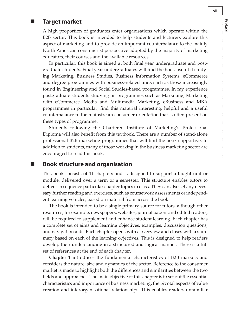#### <span id="page-6-0"></span>**Target market**

A high proportion of graduates enter organisations which operate within the B2B sector. This book is intended to help students and lecturers explore this aspect of marketing and to provide an important counterbalance to the mainly North American consumerist perspective adopted by the majority of marketing educators, their courses and the available resources.

In particular, this book is aimed at both final year undergraduate and postgraduate students. Final year undergraduates will find the book useful if studying Marketing, Business Studies, Business Information Systems, eCommerce and degree programmes with business-related units such as those increasingly found in Engineering and Social Studies-based programmes. In my experience postgraduate students studying on programmes such as Marketing, Marketing with eCommerce, Media and Multimedia Marketing, eBusiness and MBA programmes in particular, find this material interesting, helpful and a useful counterbalance to the mainstream consumer orientation that is often present on these types of programme.

Students following the Chartered Institute of Marketing's Professional Diploma will also benefit from this textbook. There are a number of stand-alone professional B2B marketing programmes that will find the book supportive. In addition to students, many of those working in the business marketing sector are encouraged to read this book.

#### **Book structure and organisation**

This book consists of 11 chapters and is designed to support a taught unit or module, delivered over a term or a semester. This structure enables tutors to deliver in sequence particular chapter topics in class. They can also set any necessary further reading and exercises, such as coursework assessments or independent learning vehicles, based on material from across the book.

The book is intended to be a single primary source for tutors, although other resources, for example, newspapers, websites, journal papers and edited readers, will be required to supplement and enhance student learning. Each chapter has a complete set of aims and learning objectives, examples, discussion questions, and navigation aids. Each chapter opens with a overview and closes with a summary based on each of the learning objectives. This is designed to help readers develop their understanding in a structured and logical manner. There is a full set of references at the end of each chapter.

**Chapter 1** introduces the fundamental characteristics of B2B markets and considers the nature, size and dynamics of the sector. Reference to the consumer market is made to highlight both the differences and similarities between the two fields and approaches. The main objective of this chapter is to set out the essential characteristics and importance of business marketing, the pivotal aspects of value creation and interorganisational relationships. This enables readers unfamiliar

Preface

İ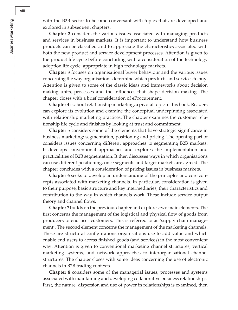<span id="page-7-0"></span>with the B2B sector to become conversant with topics that are developed and explored in subsequent chapters.

**Chapter 2** considers the various issues associated with managing products and services in business markets. It is important to understand how business products can be classified and to appreciate the characteristics associated with both the new product and service development processes. Attention is given to the product life cycle before concluding with a consideration of the technology adoption life cycle, appropriate in high technology markets.

**Chapter 3** focuses on organisational buyer behaviour and the various issues concerning the way organisations determine which products and services to buy. Attention is given to some of the classic ideas and frameworks about decision making units, processes and the influences that shape decision making. The chapter closes with a brief consideration of eProcurement.

**Chapter 4** is about relationship marketing, a pivotal topic in this book. Readers can explore its evolution and examine the conceptual underpinning associated with relationship marketing practices. The chapter examines the customer relationship life cycle and finishes by looking at trust and commitment.

**Chapter 5** considers some of the elements that have strategic significance in business marketing: segmentation, positioning and pricing. The opening part of considers issues concerning different approaches to segmenting B2B markets. It develops conventional approaches and explores the implementation and practicalities of B2B segmentation. It then discusses ways in which organisations can use different positioning, once segments and target markets are agreed. The chapter concludes with a consideration of pricing issues in business markets.

**Chapter 6** seeks to develop an understanding of the principles and core concepts associated with marketing channels. In particular, consideration is given to their purpose, basic structure and key intermediaries, their characteristics and contribution to the way in which channels work. These include service output theory and channel flows.

**Chapter 7** builds on the previous chapter and explores two main elements. The first concerns the management of the logistical and physical flow of goods from producers to end user customers. This is referred to as 'supply chain management'. The second element concerns the management of the marketing channels. These are structural configurations organisations use to add value and which enable end users to access finished goods (and services) in the most convenient way. Attention is given to conventional marketing channel structures, vertical marketing systems, and network approaches to interorganisational channel structures. The chapter closes with some ideas concerning the use of electronic channels in B2B trading contexts.

**Chapter 8** considers some of the managerial issues, processes and systems associated with maintaining and developing collaborative business relationships. First, the nature, dispersion and use of power in relationships is examined, then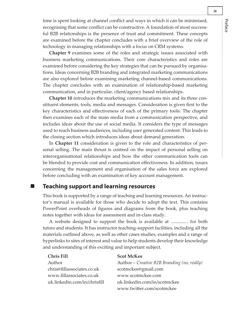<span id="page-8-0"></span>time is spent looking at channel conflict and ways in which it can be minimised, recognising that some conflict can be constructive. A foundation of most successful B2B relationships is the presence of trust and commitment. These concepts are examined before the chapter concludes with a brief overview of the role of technology in managing relationships with a focus on CRM systems.

**Chapter 9** examines some of the roles and strategic issues associated with business marketing communications. Their core characteristics and roles are examined before considering the key strategies that can be pursued by organisations. Ideas concerning B2B branding and integrated marketing communications are also explored before examining marketing channel-based communications. The chapter concludes with an examination of relationship-based marketing communication, and in particular, client/agency based relationships.

**Chapter 10** introduces the marketing communications mix and its three constituent elements; tools, media and messages. Consideration is given first to the key characteristics and effectiveness of each of the primary tools. The chapter then examines each of the main media from a communication perspective, and includes ideas about the use of social media. It considers the type of messages used to reach business audiences, including user generated content. This leads to the closing section which introduces ideas about demand generation.

In **Chapter 11** consideration is given to the role and characteristics of personal selling. The main thrust is centred on the impact of personal selling on interorganisational relationships and how the other communication tools can be blended to provide cost and communication effectiveness. In addition, issues concerning the management and organisation of the sales force are explored before concluding with an examination of key account management.

#### **Teaching support and learning resources**

This book is supported by a range of teaching and learning resources. An instructor's manual is available for those who decide to adopt the text. This contains PowerPoint overheads of figures and diagrams from the book, plus teaching notes together with ideas for assessment and in-class study.

A website designed to support the book is available at ............... for both tutors and students. It has instructor teaching-support facilities, including all the materials outlined above, as well as other cases studies, examples and a range of hyperlinks to sites of interest and value to help students develop their knowledge and understanding of this exciting and important subject.

| <b>Chris Fill</b>            | <b>Scot McKee</b>                           |
|------------------------------|---------------------------------------------|
| Author                       | Author – Creative B2B Branding (no, really) |
| chris@fillassociates.co.uk   | scotmckee@gmail.com                         |
| www.fillassociates.co.uk     | www.scotmckee.com                           |
| uk.linkedin.com/in/chrisfill | uk.linkedin.com/in/scotmckee                |
|                              | www.twitter.com/scotmckee                   |

Preface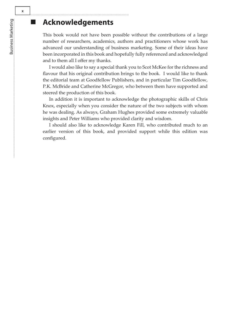## **Acknowledgements**

This book would not have been possible without the contributions of a large number of researchers, academics, authors and practitioners whose work has advanced our understanding of business marketing. Some of their ideas have been incorporated in this book and hopefully fully referenced and acknowledged and to them all I offer my thanks.

I would also like to say a special thank you to Scot McKee for the richness and flavour that his original contribution brings to the book. I would like to thank the editorial team at Goodfellow Publishers, and in particular Tim Goodfellow, P.K. McBride and Catherine McGregor, who between them have supported and steered the production of this book.

In addition it is important to acknowledge the photographic skills of Chris Knox, especially when you consider the nature of the two subjects with whom he was dealing. As always, Graham Hughes provided some extremely valuable insights and Peter Williams who provided clarity and wisdom.

I should also like to acknowledge Karen Fill, who contributed much to an earlier version of this book, and provided support while this edition was configured.

<span id="page-9-0"></span>**x**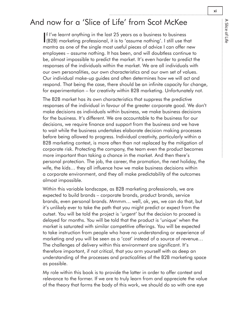## <span id="page-10-0"></span>And now for a 'Slice of Life' from Scot McKee

I (B2B) marketing professional, it is to 'assume nothing'. I still use that f I've learnt anything in the last 25 years as a business to business mantra as one of the single most useful pieces of advice I can offer new employees – assume nothing. It has been, and will doubtless continue to be, almost impossible to predict the market. It's even harder to predict the responses of the individuals within the market. We are all individuals with our own personalities, our own characteristics and our own set of values. Our individual make-up guides and often determines how we will act and respond. That being the case, there should be an infinite capacity for change, for experimentation – for creativity within B2B marketing. Unfortunately not.

The B2B market has its own characteristics that suppress the predictive responses of the individual in favour of the greater corporate good. We don't make decisions as individuals within business, we make business decisions for the business. It's different. We are accountable to the business for our decisions, we require finance and support from the business and we have to wait while the business undertakes elaborate decision making processes before being allowed to progress. Individual creativity, particularly within a B2B marketing context, is more often than not replaced by the mitigation of corporate risk. Protecting the company, the team even the product becomes more important than taking a chance in the market. And then there's personal protection. The job, the career, the promotion, the next holiday, the wife, the kids… they all influence how we make business decisions within a corporate environment, and they all make predictability of the outcomes almost impossible.

Within this variable landscape, as B2B marketing professionals, we are expected to build brands – corporate brands, product brands, service brands, even personal brands. Mmmm… well, ok, yes, we can do that, but it's unlikely ever to take the path that you might predict or expect from the outset. You will be told the project is 'urgent' but the decision to proceed is delayed for months. You will be told that the product is 'unique' when the market is saturated with similar competitive offerings. You will be expected to take instruction from people who have no understanding or experience of marketing and you will be seen as a 'cost' instead of a source of revenue… The challenges of delivery within this environment are significant. It's therefore important, if not critical, that you arm yourself with as deep an understanding of the processes and practicalities of the B2B marketing space as possible.

My role within this book is to provide the latter in order to offer context and relevance to the former. If we are to truly learn from and appreciate the value of the theory that forms the body of this work, we should do so with one eye

A Slice of Life

A Slice of Life